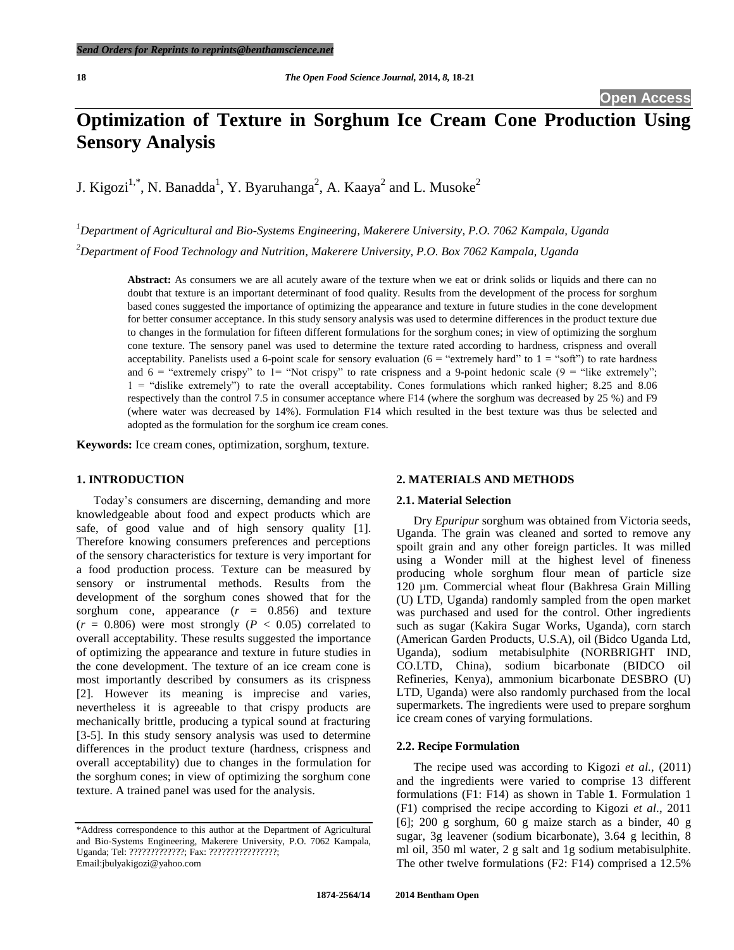# **Optimization of Texture in Sorghum Ice Cream Cone Production Using Sensory Analysis**

J. Kigozi<sup>1,\*</sup>, N. Banadda<sup>1</sup>, Y. Byaruhanga<sup>2</sup>, A. Kaaya<sup>2</sup> and L. Musoke<sup>2</sup>

*<sup>1</sup>Department of Agricultural and Bio-Systems Engineering, Makerere University, P.O. 7062 Kampala, Uganda <sup>2</sup>Department of Food Technology and Nutrition, Makerere University, P.O. Box 7062 Kampala, Uganda*

**Abstract:** As consumers we are all acutely aware of the texture when we eat or drink solids or liquids and there can no doubt that texture is an important determinant of food quality. Results from the development of the process for sorghum based cones suggested the importance of optimizing the appearance and texture in future studies in the cone development for better consumer acceptance. In this study sensory analysis was used to determine differences in the product texture due to changes in the formulation for fifteen different formulations for the sorghum cones; in view of optimizing the sorghum cone texture. The sensory panel was used to determine the texture rated according to hardness, crispness and overall acceptability. Panelists used a 6-point scale for sensory evaluation ( $6 =$  "extremely hard" to  $1 =$  "soft") to rate hardness and  $6 =$  "extremely crispy" to 1= "Not crispy" to rate crispness and a 9-point hedonic scale (9 = "like extremely"; 1 = "dislike extremely") to rate the overall acceptability. Cones formulations which ranked higher; 8.25 and 8.06 respectively than the control 7.5 in consumer acceptance where F14 (where the sorghum was decreased by 25 %) and F9 (where water was decreased by 14%). Formulation F14 which resulted in the best texture was thus be selected and adopted as the formulation for the sorghum ice cream cones.

**Keywords:** Ice cream cones, optimization, sorghum, texture.

### **1. INTRODUCTION**

Today's consumers are discerning, demanding and more knowledgeable about food and expect products which are safe, of good value and of high sensory quality [1]. Therefore knowing consumers preferences and perceptions of the sensory characteristics for texture is very important for a food production process. Texture can be measured by sensory or instrumental methods. Results from the development of the sorghum cones showed that for the sorghum cone, appearance  $(r = 0.856)$  and texture  $(r = 0.806)$  were most strongly  $(P < 0.05)$  correlated to overall acceptability. These results suggested the importance of optimizing the appearance and texture in future studies in the cone development. The texture of an ice cream cone is most importantly described by consumers as its crispness [2]. However its meaning is imprecise and varies, nevertheless it is agreeable to that crispy products are mechanically brittle, producing a typical sound at fracturing [3-5]. In this study sensory analysis was used to determine differences in the product texture (hardness, crispness and overall acceptability) due to changes in the formulation for the sorghum cones; in view of optimizing the sorghum cone texture. A trained panel was used for the analysis.

#### **2. MATERIALS AND METHODS**

#### **2.1. Material Selection**

Dry *Epuripur* sorghum was obtained from Victoria seeds, Uganda. The grain was cleaned and sorted to remove any spoilt grain and any other foreign particles. It was milled using a Wonder mill at the highest level of fineness producing whole sorghum flour mean of particle size 120 µm. Commercial wheat flour (Bakhresa Grain Milling (U) LTD, Uganda) randomly sampled from the open market was purchased and used for the control. Other ingredients such as sugar (Kakira Sugar Works, Uganda), corn starch (American Garden Products, U.S.A), oil (Bidco Uganda Ltd, Uganda), sodium metabisulphite (NORBRIGHT IND, CO.LTD, China), sodium bicarbonate (BIDCO oil Refineries, Kenya), ammonium bicarbonate DESBRO (U) LTD, Uganda) were also randomly purchased from the local supermarkets. The ingredients were used to prepare sorghum ice cream cones of varying formulations.

#### **2.2. Recipe Formulation**

The recipe used was according to Kigozi *et al.*, (2011) and the ingredients were varied to comprise 13 different formulations (F1: F14) as shown in Table **1**. Formulation 1 (F1) comprised the recipe according to Kigozi *et al*., 2011 [6]; 200 g sorghum, 60 g maize starch as a binder, 40 g sugar, 3g leavener (sodium bicarbonate), 3.64 g lecithin, 8 ml oil, 350 ml water, 2 g salt and 1g sodium metabisulphite. The other twelve formulations (F2: F14) comprised a 12.5%

<sup>\*</sup>Address correspondence to this author at the Department of Agricultural and Bio-Systems Engineering, Makerere University, P.O. 7062 Kampala, Uganda; Tel: ?????????????; Fax: ????????????????; Email:jbulyakigozi@yahoo.com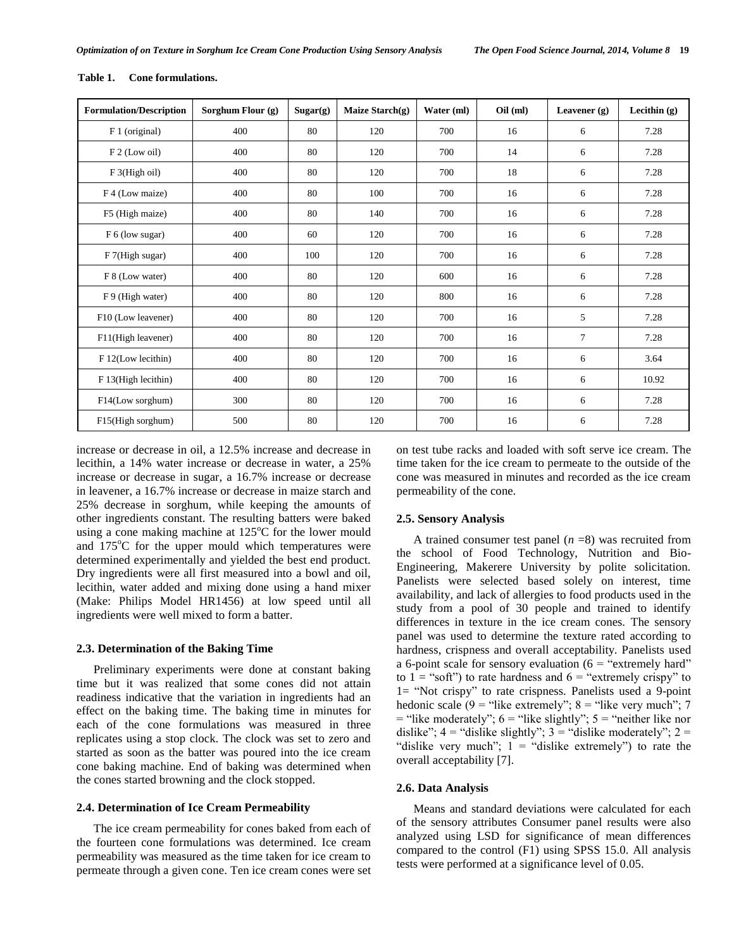| <b>Formulation/Description</b> | Sorghum Flour (g) | Sugar(g) | Maize Starch(g) | Water (ml) | $Oil$ (ml) | Leavener (g)   | Lecithin (g) |
|--------------------------------|-------------------|----------|-----------------|------------|------------|----------------|--------------|
| F 1 (original)                 | 400               | 80       | 120             | 700        | 16         | 6              | 7.28         |
| $F$ 2 (Low oil)                | 400               | 80       | 120             | 700        | 14         | 6              | 7.28         |
| $F_3$ (High oil)               | 400               | 80       | 120             | 700        | 18         | 6              | 7.28         |
| F 4 (Low maize)                | 400               | 80       | 100             | 700        | 16         | 6              | 7.28         |
| F5 (High maize)                | 400               | 80       | 140             | 700        | 16         | 6              | 7.28         |
| $F_6$ (low sugar)              | 400               | 60       | 120             | 700        | 16         | 6              | 7.28         |
| F 7(High sugar)                | 400               | 100      | 120             | 700        | 16         | 6              | 7.28         |
| F 8 (Low water)                | 400               | 80       | 120             | 600        | 16         | 6              | 7.28         |
| F 9 (High water)               | 400               | 80       | 120             | 800        | 16         | 6              | 7.28         |
| F10 (Low leavener)             | 400               | 80       | 120             | 700        | 16         | 5              | 7.28         |
| F11(High leavener)             | 400               | 80       | 120             | 700        | 16         | $\overline{7}$ | 7.28         |
| F 12(Low lecithin)             | 400               | 80       | 120             | 700        | 16         | 6              | 3.64         |
| F 13(High lecithin)            | 400               | 80       | 120             | 700        | 16         | 6              | 10.92        |
| F14(Low sorghum)               | 300               | 80       | 120             | 700        | 16         | 6              | 7.28         |
| F15(High sorghum)              | 500               | 80       | 120             | 700        | 16         | 6              | 7.28         |

#### **Table 1. Cone formulations.**

increase or decrease in oil, a 12.5% increase and decrease in lecithin, a 14% water increase or decrease in water, a 25% increase or decrease in sugar, a 16.7% increase or decrease in leavener, a 16.7% increase or decrease in maize starch and 25% decrease in sorghum, while keeping the amounts of other ingredients constant. The resulting batters were baked using a cone making machine at  $125^{\circ}$ C for the lower mould and  $175^{\circ}$ C for the upper mould which temperatures were determined experimentally and yielded the best end product. Dry ingredients were all first measured into a bowl and oil, lecithin, water added and mixing done using a hand mixer (Make: Philips Model HR1456) at low speed until all ingredients were well mixed to form a batter.

# **2.3. Determination of the Baking Time**

Preliminary experiments were done at constant baking time but it was realized that some cones did not attain readiness indicative that the variation in ingredients had an effect on the baking time. The baking time in minutes for each of the cone formulations was measured in three replicates using a stop clock. The clock was set to zero and started as soon as the batter was poured into the ice cream cone baking machine. End of baking was determined when the cones started browning and the clock stopped.

### **2.4. Determination of Ice Cream Permeability**

The ice cream permeability for cones baked from each of the fourteen cone formulations was determined. Ice cream permeability was measured as the time taken for ice cream to permeate through a given cone. Ten ice cream cones were set on test tube racks and loaded with soft serve ice cream. The time taken for the ice cream to permeate to the outside of the cone was measured in minutes and recorded as the ice cream permeability of the cone.

### **2.5. Sensory Analysis**

A trained consumer test panel (*n* =8) was recruited from the school of Food Technology, Nutrition and Bio-Engineering, Makerere University by polite solicitation. Panelists were selected based solely on interest, time availability, and lack of allergies to food products used in the study from a pool of 30 people and trained to identify differences in texture in the ice cream cones. The sensory panel was used to determine the texture rated according to hardness, crispness and overall acceptability. Panelists used a 6-point scale for sensory evaluation ( $6 =$  "extremely hard" to  $1 =$  "soft") to rate hardness and  $6 =$  "extremely crispy" to 1= "Not crispy" to rate crispness. Panelists used a 9-point hedonic scale (9 = "like extremely";  $8 =$  "like very much"; 7  $=$  "like moderately"; 6 = "like slightly"; 5 = "neither like nor dislike";  $4 =$  "dislike slightly";  $3 =$  "dislike moderately";  $2 =$ "dislike very much";  $1 =$  "dislike extremely") to rate the overall acceptability [7].

### **2.6. Data Analysis**

Means and standard deviations were calculated for each of the sensory attributes Consumer panel results were also analyzed using LSD for significance of mean differences compared to the control (F1) using SPSS 15.0. All analysis tests were performed at a significance level of 0.05.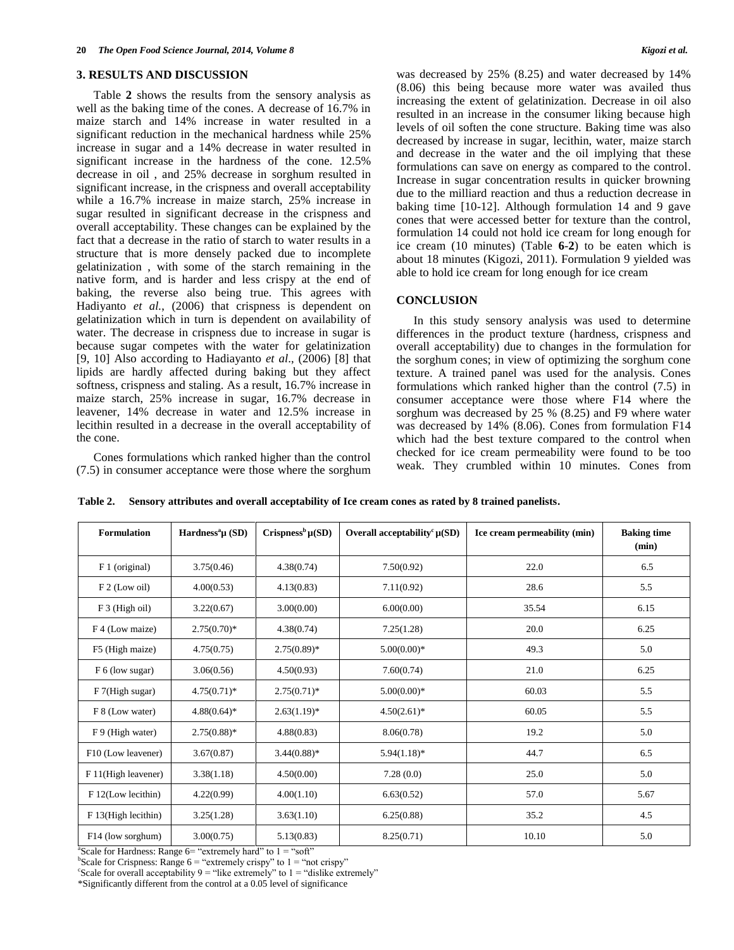### **3. RESULTS AND DISCUSSION**

Table **2** shows the results from the sensory analysis as well as the baking time of the cones. A decrease of 16.7% in maize starch and 14% increase in water resulted in a significant reduction in the mechanical hardness while 25% increase in sugar and a 14% decrease in water resulted in significant increase in the hardness of the cone. 12.5% decrease in oil , and 25% decrease in sorghum resulted in significant increase, in the crispness and overall acceptability while a 16.7% increase in maize starch, 25% increase in sugar resulted in significant decrease in the crispness and overall acceptability. These changes can be explained by the fact that a decrease in the ratio of starch to water results in a structure that is more densely packed due to incomplete gelatinization , with some of the starch remaining in the native form, and is harder and less crispy at the end of baking, the reverse also being true. This agrees with Hadiyanto *et al.*, (2006) that crispness is dependent on gelatinization which in turn is dependent on availability of water. The decrease in crispness due to increase in sugar is because sugar competes with the water for gelatinization [9, 10] Also according to Hadiayanto *et al*., (2006) [8] that lipids are hardly affected during baking but they affect softness, crispness and staling. As a result, 16.7% increase in maize starch, 25% increase in sugar, 16.7% decrease in leavener, 14% decrease in water and 12.5% increase in lecithin resulted in a decrease in the overall acceptability of the cone.

Cones formulations which ranked higher than the control (7.5) in consumer acceptance were those where the sorghum was decreased by 25% (8.25) and water decreased by 14% (8.06) this being because more water was availed thus increasing the extent of gelatinization. Decrease in oil also resulted in an increase in the consumer liking because high levels of oil soften the cone structure. Baking time was also decreased by increase in sugar, lecithin, water, maize starch and decrease in the water and the oil implying that these formulations can save on energy as compared to the control. Increase in sugar concentration results in quicker browning due to the milliard reaction and thus a reduction decrease in baking time [10-12]. Although formulation 14 and 9 gave cones that were accessed better for texture than the control, formulation 14 could not hold ice cream for long enough for ice cream (10 minutes) (Table **6**-**2**) to be eaten which is about 18 minutes (Kigozi, 2011). Formulation 9 yielded was able to hold ice cream for long enough for ice cream

### **CONCLUSION**

In this study sensory analysis was used to determine differences in the product texture (hardness, crispness and overall acceptability) due to changes in the formulation for the sorghum cones; in view of optimizing the sorghum cone texture. A trained panel was used for the analysis. Cones formulations which ranked higher than the control (7.5) in consumer acceptance were those where F14 where the sorghum was decreased by 25 % (8.25) and F9 where water was decreased by 14% (8.06). Cones from formulation F14 which had the best texture compared to the control when checked for ice cream permeability were found to be too weak. They crumbled within 10 minutes. Cones from

| <b>Formulation</b>     | Hardness <sup>a</sup> µ $(SD)$ | Crispness <sup>b</sup> $\mu(SD)$ | Overall acceptability <sup>c</sup> $\mu(SD)$ | Ice cream permeability (min) | <b>Baking time</b><br>(min) |
|------------------------|--------------------------------|----------------------------------|----------------------------------------------|------------------------------|-----------------------------|
| F 1 (original)         | 3.75(0.46)                     | 4.38(0.74)                       | 7.50(0.92)                                   | 22.0                         | 6.5                         |
| $F$ 2 (Low oil)        | 4.00(0.53)                     | 4.13(0.83)                       | 7.11(0.92)                                   | 28.6                         | 5.5                         |
| $F3$ (High oil)        | 3.22(0.67)                     | 3.00(0.00)                       | 6.00(0.00)                                   | 35.54                        | 6.15                        |
| F 4 (Low maize)        | $2.75(0.70)*$                  | 4.38(0.74)                       | 7.25(1.28)                                   | 20.0                         | 6.25                        |
| F5 (High maize)        | 4.75(0.75)                     | $2.75(0.89)^*$                   | $5.00(0.00)*$                                | 49.3                         | 5.0                         |
| F 6 (low sugar)        | 3.06(0.56)                     | 4.50(0.93)                       | 7.60(0.74)                                   | 21.0                         | 6.25                        |
| F 7(High sugar)        | $4.75(0.71)^*$                 | $2.75(0.71)^*$                   | $5.00(0.00)*$                                | 60.03                        | 5.5                         |
| F 8 (Low water)        | $4.88(0.64)$ *                 | $2.63(1.19)^*$                   | $4.50(2.61)^*$                               | 60.05                        | 5.5                         |
| F 9 (High water)       | $2.75(0.88)$ *                 | 4.88(0.83)                       | 8.06(0.78)                                   | 19.2                         | 5.0                         |
| F10 (Low leavener)     | 3.67(0.87)                     | $3.44(0.88)$ *                   | $5.94(1.18)$ *                               | 44.7                         | 6.5                         |
| F 11(High leavener)    | 3.38(1.18)                     | 4.50(0.00)                       | 7.28(0.0)                                    | 25.0                         | 5.0                         |
| F 12(Low lecithin)     | 4.22(0.99)                     | 4.00(1.10)                       | 6.63(0.52)                                   | 57.0                         | 5.67                        |
| $F 13$ (High lecithin) | 3.25(1.28)                     | 3.63(1.10)                       | 6.25(0.88)                                   | 35.2                         | 4.5                         |
| F14 (low sorghum)      | 3.00(0.75)                     | 5.13(0.83)                       | 8.25(0.71)                                   | 10.10                        | 5.0                         |

**Table 2. Sensory attributes and overall acceptability of Ice cream cones as rated by 8 trained panelists.**

<sup>a</sup>Scale for Hardness: Range  $6=$  "extremely hard" to  $1 =$  "soft"

<sup>b</sup>Scale for Crispness: Range  $6 =$  "extremely crispy" to  $1 =$  "not crispy" Scale for overall acceptability  $9 =$  "like extremely" to  $1 =$  "dislike extremely"

\*Significantly different from the control at a 0.05 level of significance